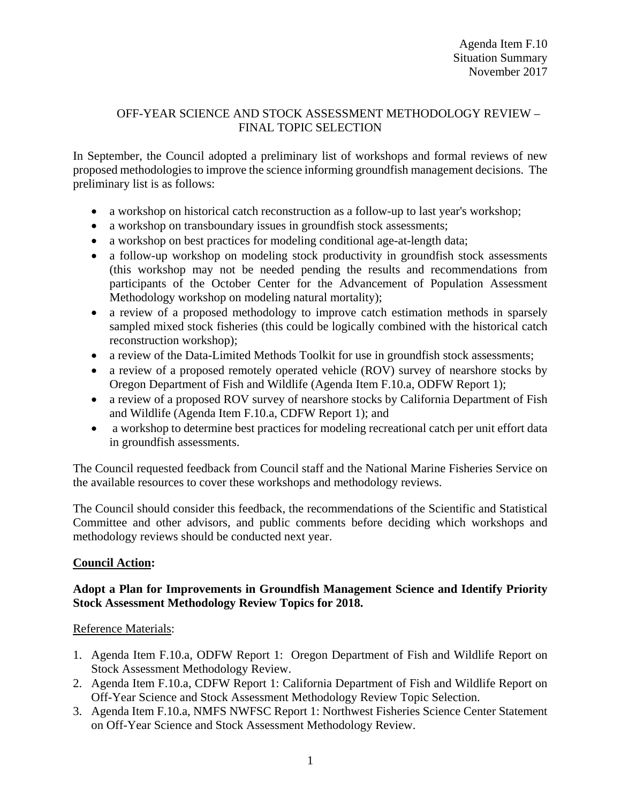## OFF-YEAR SCIENCE AND STOCK ASSESSMENT METHODOLOGY REVIEW – FINAL TOPIC SELECTION

In September, the Council adopted a preliminary list of workshops and formal reviews of new proposed methodologies to improve the science informing groundfish management decisions. The preliminary list is as follows:

- a workshop on historical catch reconstruction as a follow-up to last year's workshop;
- a workshop on transboundary issues in groundfish stock assessments;
- a workshop on best practices for modeling conditional age-at-length data;
- a follow-up workshop on modeling stock productivity in groundfish stock assessments (this workshop may not be needed pending the results and recommendations from participants of the October Center for the Advancement of Population Assessment Methodology workshop on modeling natural mortality);
- a review of a proposed methodology to improve catch estimation methods in sparsely sampled mixed stock fisheries (this could be logically combined with the historical catch reconstruction workshop);
- a review of the Data-Limited Methods Toolkit for use in groundfish stock assessments;
- a review of a proposed remotely operated vehicle (ROV) survey of nearshore stocks by Oregon Department of Fish and Wildlife (Agenda Item F.10.a, ODFW Report 1);
- a review of a proposed ROV survey of nearshore stocks by California Department of Fish and Wildlife (Agenda Item F.10.a, CDFW Report 1); and
- a workshop to determine best practices for modeling recreational catch per unit effort data in groundfish assessments.

The Council requested feedback from Council staff and the National Marine Fisheries Service on the available resources to cover these workshops and methodology reviews.

The Council should consider this feedback, the recommendations of the Scientific and Statistical Committee and other advisors, and public comments before deciding which workshops and methodology reviews should be conducted next year.

## **Council Action:**

## **Adopt a Plan for Improvements in Groundfish Management Science and Identify Priority Stock Assessment Methodology Review Topics for 2018.**

#### Reference Materials:

- 1. Agenda Item F.10.a, ODFW Report 1: Oregon Department of Fish and Wildlife Report on Stock Assessment Methodology Review.
- 2. Agenda Item F.10.a, CDFW Report 1: California Department of Fish and Wildlife Report on Off-Year Science and Stock Assessment Methodology Review Topic Selection.
- 3. Agenda Item F.10.a, NMFS NWFSC Report 1: Northwest Fisheries Science Center Statement on Off-Year Science and Stock Assessment Methodology Review.